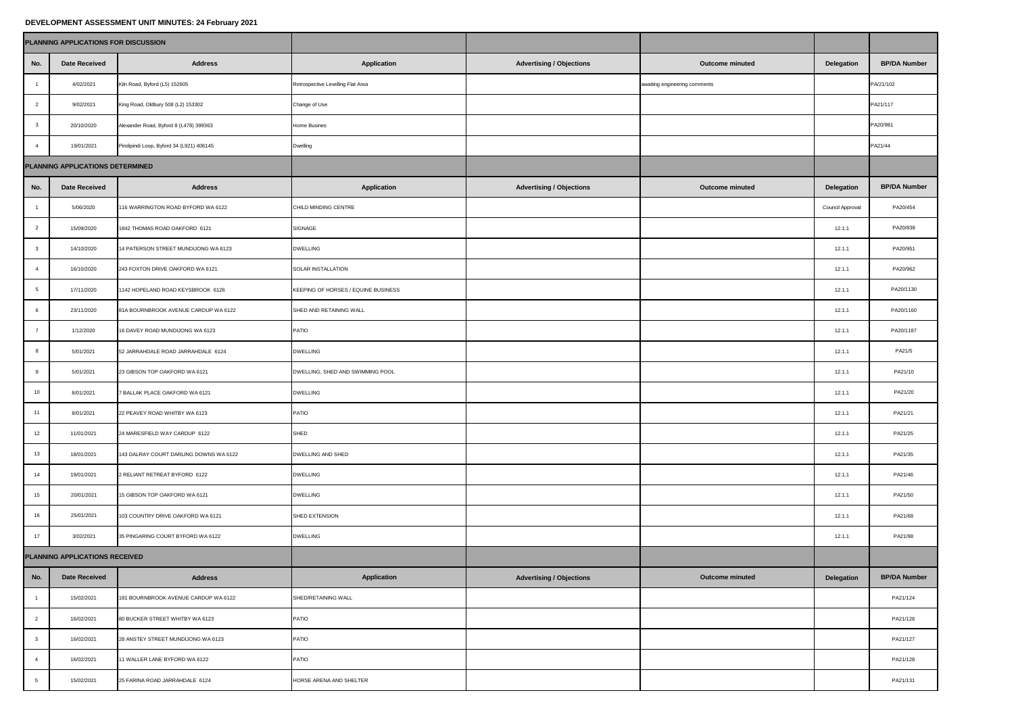## **DEVELOPMENT ASSESSMENT UNIT MINUTES: 24 February 2021**

| PLANNING APPLICATIONS FOR DISCUSSION |                                  |                                          |                                     |                                 |                               |                  |                     |
|--------------------------------------|----------------------------------|------------------------------------------|-------------------------------------|---------------------------------|-------------------------------|------------------|---------------------|
| No.                                  | <b>Date Received</b>             | <b>Address</b>                           | Application                         | <b>Advertising / Objections</b> | Outcome minuted               | Delegation       | <b>BP/DA Number</b> |
| $\overline{1}$                       | 4/02/2021                        | Kiln Road, Byford (L5) 152605            | Retrospective Levelling Flat Area   |                                 | awaiting engineering comments |                  | PA/21/102           |
| $\overline{2}$                       | 9/02/2021                        | King Road, Oldbury 508 (L2) 153302       | Change of Use                       |                                 |                               |                  | PA21/117            |
| $\overline{\mathbf{3}}$              | 20/10/2020                       | Alexander Road, Byford 8 (L478) 399363   | Home Busines                        |                                 |                               |                  | PA20/981            |
| $\overline{4}$                       | 19/01/2021                       | Pindipindi Loop, Byford 34 (L921) 406145 | Dwelling                            |                                 |                               |                  | PA21/44             |
|                                      | PLANNING APPLICATIONS DETERMINED |                                          |                                     |                                 |                               |                  |                     |
| No.                                  | <b>Date Received</b>             | <b>Address</b>                           | Application                         | <b>Advertising / Objections</b> | Outcome minuted               | Delegation       | <b>BP/DA Number</b> |
| $\overline{1}$                       | 5/06/2020                        | 116 WARRINGTON ROAD BYFORD WA 6122       | CHILD MINDING CENTRE                |                                 |                               | Council Approval | PA20/454            |
| $\overline{2}$                       | 15/09/2020                       | 1842 THOMAS ROAD OAKFORD 6121            | SIGNAGE                             |                                 |                               | 12.1.1           | PA20/838            |
| $\mathbf{3}$                         | 14/10/2020                       | 14 PATERSON STREET MUNDIJONG WA 6123     | <b>DWELLING</b>                     |                                 |                               | 12.1.1           | PA20/951            |
| $\overline{4}$                       | 16/10/2020                       | 243 FOXTON DRIVE OAKFORD WA 6121         | SOLAR INSTALLATION                  |                                 |                               | 12.1.1           | PA20/962            |
| 5                                    | 17/11/2020                       | 1142 HOPELAND ROAD KEYSBROOK 6126        | KEEPING OF HORSES / EQUINE BUSINESS |                                 |                               | 12.1.1           | PA20/1130           |
| 6                                    | 23/11/2020                       | 81A BOURNBROOK AVENUE CARDUP WA 6122     | SHED AND RETAINING WALL             |                                 |                               | 12.1.1           | PA20/1160           |
| $\overline{7}$                       | 1/12/2020                        | 16 DAVEY ROAD MUNDIJONG WA 6123          | PATIO                               |                                 |                               | 12.1.1           | PA20/1187           |
| 8                                    | 5/01/2021                        | 52 JARRAHDALE ROAD JARRAHDALE 6124       | <b>DWELLING</b>                     |                                 |                               | 12.1.1           | PA21/5              |
| $9\,$                                | 5/01/2021                        | 23 GIBSON TOP OAKFORD WA 6121            | DWELLING, SHED AND SWIMMING POOL    |                                 |                               | 12.1.1           | PA21/10             |
| 10                                   | 8/01/2021                        | 7 BALLAK PLACE OAKFORD WA 6121           | <b>DWELLING</b>                     |                                 |                               | 12.1.1           | PA21/20             |
| 11                                   | 8/01/2021                        | 22 PEAVEY ROAD WHITBY WA 6123            | PATIO                               |                                 |                               | 12.1.1           | PA21/21             |
| 12                                   | 11/01/2021                       | 24 MARESFIELD WAY CARDUP 6122            | SHED                                |                                 |                               | 12.1.1           | PA21/25             |
| 13                                   | 18/01/2021                       | 143 DALRAY COURT DARLING DOWNS WA 6122   | DWELLING AND SHED                   |                                 |                               | 12.1.1           | PA21/35             |
| 14                                   | 19/01/2021                       | 2 RELIANT RETREAT BYFORD 6122            | <b>DWELLING</b>                     |                                 |                               | 12.1.1           | PA21/46             |
| 15                                   | 20/01/2021                       | 15 GIBSON TOP OAKFORD WA 6121            | <b>DWELLING</b>                     |                                 |                               | 12.1.1           | PA21/50             |
| 16                                   | 25/01/2021                       | 103 COUNTRY DRIVE OAKFORD WA 6121        | SHED EXTENSION                      |                                 |                               | 12.1.1           | PA21/68             |
| 17                                   | 3/02/2021                        | 35 PINGARING COURT BYFORD WA 6122        | <b>DWELLING</b>                     |                                 |                               | 12.1.1           | PA21/98             |
| PLANNING APPLICATIONS RECEIVED       |                                  |                                          |                                     |                                 |                               |                  |                     |
| No.                                  | <b>Date Received</b>             | <b>Address</b>                           | Application                         | <b>Advertising / Objections</b> | Outcome minuted               | Delegation       | <b>BP/DA Number</b> |
| $\overline{1}$                       | 15/02/2021                       | 181 BOURNBROOK AVENUE CARDUP WA 6122     | SHED/RETAINING WALL                 |                                 |                               |                  | PA21/124            |
| $\overline{2}$                       | 16/02/2021                       | 80 BUCKER STREET WHITBY WA 6123          | PATIO                               |                                 |                               |                  | PA21/126            |
| $\mathbf{3}$                         | 16/02/2021                       | 28 ANSTEY STREET MUNDIJONG WA 6123       | PATIO                               |                                 |                               |                  | PA21/127            |
| $\overline{4}$                       | 16/02/2021                       | 11 WALLER LANE BYFORD WA 6122            | PATIO                               |                                 |                               |                  | PA21/128            |
| $\overline{5}$                       | 15/02/2021                       | 25 FARINA ROAD JARRAHDALE 6124           | HORSE ARENA AND SHELTER             |                                 |                               |                  | PA21/131            |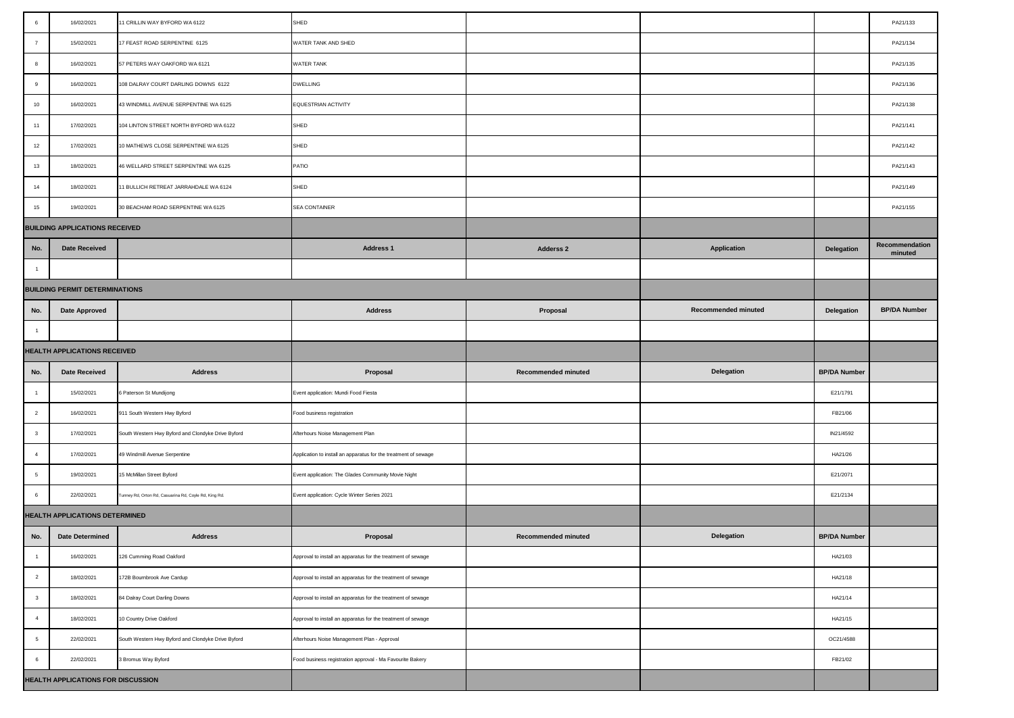| $\,6\,$                               | 16/02/2021                     | 11 CRILLIN WAY BYFORD WA 6122                        | SHED                                                            |                            |                     |                     | PA21/133                  |
|---------------------------------------|--------------------------------|------------------------------------------------------|-----------------------------------------------------------------|----------------------------|---------------------|---------------------|---------------------------|
| $\overline{7}$                        | 15/02/2021                     | 17 FEAST ROAD SERPENTINE 6125                        | WATER TANK AND SHED                                             |                            |                     |                     | PA21/134                  |
| 8                                     | 16/02/2021                     | 57 PETERS WAY OAKFORD WA 6121                        | WATER TANK                                                      |                            |                     |                     | PA21/135                  |
| 9                                     | 16/02/2021                     | 108 DALRAY COURT DARLING DOWNS 6122                  | <b>DWELLING</b>                                                 |                            |                     |                     | PA21/136                  |
| 10                                    | 16/02/2021                     | 43 WINDMILL AVENUE SERPENTINE WA 6125                | EQUESTRIAN ACTIVITY                                             |                            |                     |                     | PA21/138                  |
| 11                                    | 17/02/2021                     | 104 LINTON STREET NORTH BYFORD WA 6122               | SHED                                                            |                            |                     |                     | PA21/141                  |
| 12                                    | 17/02/2021                     | 10 MATHEWS CLOSE SERPENTINE WA 6125                  | SHED                                                            |                            |                     |                     | PA21/142                  |
| 13                                    | 18/02/2021                     | 46 WELLARD STREET SERPENTINE WA 6125                 | PATIO                                                           |                            |                     |                     | PA21/143                  |
| 14                                    | 18/02/2021                     | 11 BULLICH RETREAT JARRAHDALE WA 6124                | SHED                                                            |                            |                     |                     | PA21/149                  |
| 15                                    | 19/02/2021                     | 30 BEACHAM ROAD SERPENTINE WA 6125                   | SEA CONTAINER                                                   |                            |                     |                     | PA21/155                  |
| <b>BUILDING APPLICATIONS RECEIVED</b> |                                |                                                      |                                                                 |                            |                     |                     |                           |
| No.                                   | <b>Date Received</b>           |                                                      | <b>Address 1</b>                                                | Adderss <sub>2</sub>       | <b>Application</b>  | Delegation          | Recommendation<br>minuted |
| $\overline{1}$                        |                                |                                                      |                                                                 |                            |                     |                     |                           |
| <b>BUILDING PERMIT DETERMINATIONS</b> |                                |                                                      |                                                                 |                            |                     |                     |                           |
| No.                                   | <b>Date Approved</b>           |                                                      | <b>Address</b>                                                  | Proposal                   | Recommended minuted | Delegation          | <b>BP/DA Number</b>       |
| $\overline{1}$                        |                                |                                                      |                                                                 |                            |                     |                     |                           |
| HEALTH APPLICATIONS RECEIVED          |                                |                                                      |                                                                 |                            |                     |                     |                           |
|                                       |                                |                                                      |                                                                 |                            |                     |                     |                           |
| No.                                   | <b>Date Received</b>           | <b>Address</b>                                       | Proposal                                                        | <b>Recommended minuted</b> | Delegation          | <b>BP/DA Number</b> |                           |
| $\overline{1}$                        | 15/02/2021                     | 6 Paterson St Mundijong                              | Event application: Mundi Food Fiesta                            |                            |                     | E21/1791            |                           |
| $\overline{\mathbf{2}}$               | 16/02/2021                     | 911 South Western Hwy Byford                         | Food business registration                                      |                            |                     | FB21/06             |                           |
| $\overline{\mathbf{3}}$               | 17/02/2021                     | South Western Hwy Byford and Clondyke Drive Byford   | Afterhours Noise Management Plan                                |                            |                     | IN21/4592           |                           |
| $\overline{4}$                        | 17/02/2021                     | 49 Windmill Avenue Serpentine                        | Application to install an apparatus for the treatment of sewage |                            |                     | HA21/26             |                           |
| 5                                     | 19/02/2021                     | 15 McMillan Street Byford                            | Event application: The Glades Community Movie Night             |                            |                     | E21/2071            |                           |
| $6\phantom{.0}$                       | 22/02/2021                     | unney Rd, Orton Rd, Casuarina Rd, Coyle Rd, King Rd. | Event application: Cycle Winter Series 2021                     |                            |                     | E21/2134            |                           |
|                                       | HEALTH APPLICATIONS DETERMINED |                                                      |                                                                 |                            |                     |                     |                           |
| No.                                   | <b>Date Determined</b>         | <b>Address</b>                                       | Proposal                                                        | Recommended minuted        | Delegation          | <b>BP/DA Number</b> |                           |
| $\mathbf{1}$                          | 16/02/2021                     | 126 Cumming Road Oakford                             | Approval to install an apparatus for the treatment of sewage    |                            |                     | HA21/03             |                           |
| $\overline{2}$                        | 18/02/2021                     | 172B Bournbrook Ave Cardup                           | Approval to install an apparatus for the treatment of sewage    |                            |                     | HA21/18             |                           |
| $\mathbf{3}$                          | 18/02/2021                     | 84 Dalray Court Darling Downs                        | Approval to install an apparatus for the treatment of sewage    |                            |                     | HA21/14             |                           |
| $\overline{4}$                        | 18/02/2021                     | 10 Country Drive Oakford                             | Approval to install an apparatus for the treatment of sewage    |                            |                     | HA21/15             |                           |
| 5 <sub>5</sub>                        | 22/02/2021                     | South Western Hwy Byford and Clondyke Drive Byford   | Afterhours Noise Management Plan - Approval                     |                            |                     | OC21/4588           |                           |
| $\,6\,$                               | 22/02/2021                     | 3 Bromus Way Byford                                  | Food business registration approval - Ma Favourite Bakery       |                            |                     | FB21/02             |                           |